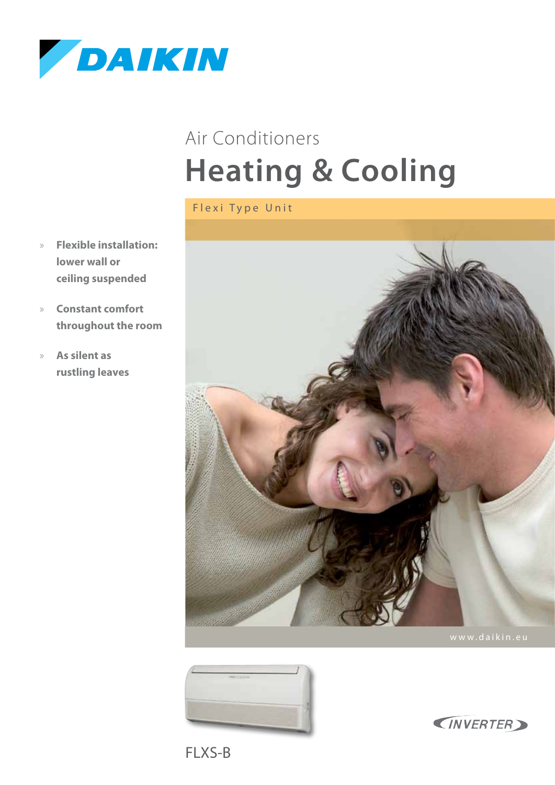

# **Heating & Cooling** Air Conditioners

Flexi Type Unit

- » **Flexible installation: lower wall or ceiling suspended**
- » **Constant comfort throughout the room**
- » **As silent as rustling leaves**







FLXS-B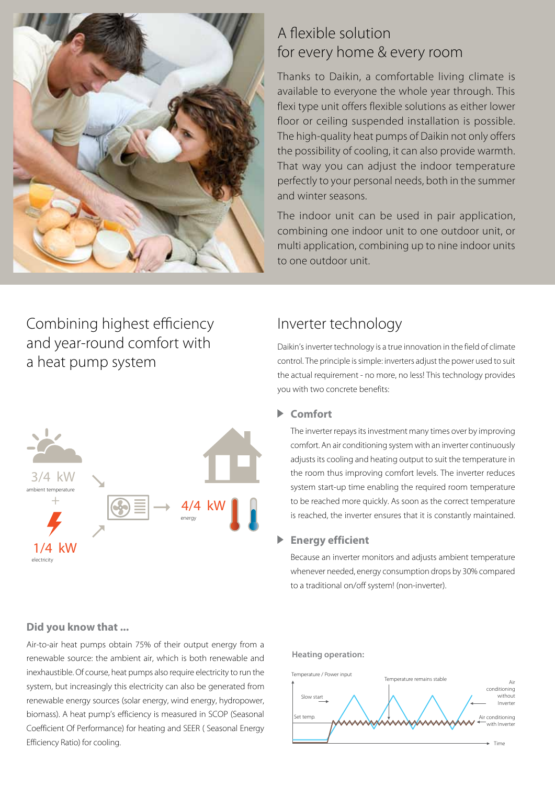

### A flexible solution for every home & every room

Thanks to Daikin, a comfortable living climate is available to everyone the whole year through. This flexi type unit offers flexible solutions as either lower floor or ceiling suspended installation is possible. The high-quality heat pumps of Daikin not only offers the possibility of cooling, it can also provide warmth. That way you can adjust the indoor temperature perfectly to your personal needs, both in the summer and winter seasons.

The indoor unit can be used in pair application, combining one indoor unit to one outdoor unit, or multi application, combining up to nine indoor units to one outdoor unit.

### Combining highest efficiency and year-round comfort with a heat pump system



### Inverter technology

Daikin's inverter technology is a true innovation in the field of climate control. The principle is simple: inverters adjust the power used to suit the actual requirement - no more, no less! This technology provides you with two concrete benefits:

### **Comfort**

The inverter repays its investment many times over by improving comfort. An air conditioning system with an inverter continuously adjusts its cooling and heating output to suit the temperature in the room thus improving comfort levels. The inverter reduces system start-up time enabling the required room temperature to be reached more quickly. As soon as the correct temperature is reached, the inverter ensures that it is constantly maintained.

#### ь **Energy efficient**

Because an inverter monitors and adjusts ambient temperature whenever needed, energy consumption drops by 30% compared to a traditional on/off system! (non-inverter).

### **Did you know that ...**

Air-to-air heat pumps obtain 75% of their output energy from a renewable source: the ambient air, which is both renewable and inexhaustible. Of course, heat pumps also require electricity to run the system, but increasingly this electricity can also be generated from renewable energy sources (solar energy, wind energy, hydropower, biomass). A heat pump's efficiency is measured in SCOP (Seasonal Coefficient Of Performance) for heating and SEER ( Seasonal Energy Efficiency Ratio) for cooling.

#### **Heating operation:**

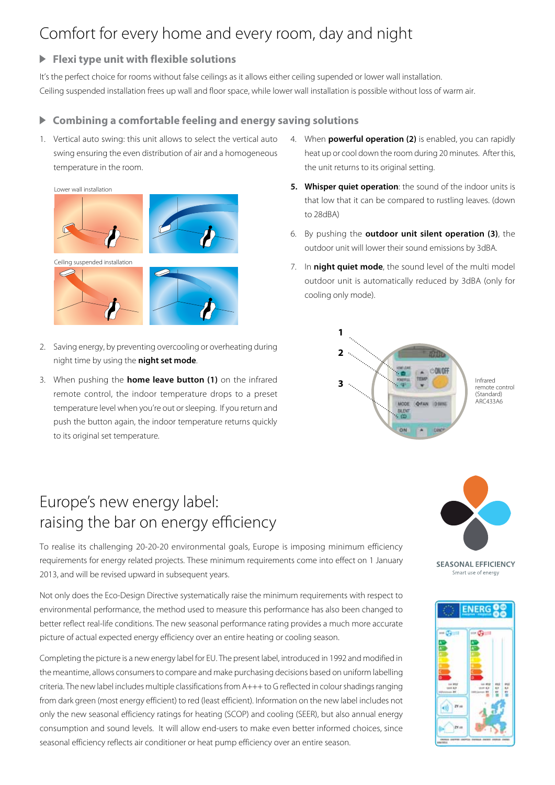## Comfort for every home and every room, day and night

### **Flexi type unit with flexible solutions**

It's the perfect choice for rooms without false ceilings as it allows either ceiling supended or lower wall installation. Ceiling suspended installation frees up wall and floor space, while lower wall installation is possible without loss of warm air.

#### **Combining a comfortable feeling and energy saving solutions**  $\blacktriangleright$

1. Vertical auto swing: this unit allows to select the vertical auto swing ensuring the even distribution of air and a homogeneous temperature in the room.



- 2. Saving energy, by preventing overcooling or overheating during night time by using the **night set mode**.
- 3. When pushing the **home leave button (1)** on the infrared remote control, the indoor temperature drops to a preset temperature level when you're out or sleeping. If you return and push the button again, the indoor temperature returns quickly to its original set temperature.
- Europe's new energy label: raising the bar on energy efficiency

To realise its challenging 20-20-20 environmental goals, Europe is imposing minimum efficiency requirements for energy related projects. These minimum requirements come into effect on 1 January 2013, and will be revised upward in subsequent years.

Not only does the Eco-Design Directive systematically raise the minimum requirements with respect to environmental performance, the method used to measure this performance has also been changed to better reflect real-life conditions. The new seasonal performance rating provides a much more accurate picture of actual expected energy efficiency over an entire heating or cooling season.

Completing the picture is a new energy label for EU. The present label, introduced in 1992 and modified in the meantime, allows consumers to compare and make purchasing decisions based on uniform labelling criteria. The new label includes multiple classifications from A+++ to G reflected in colour shadings ranging from dark green (most energy efficient) to red (least efficient). Information on the new label includes not only the new seasonal efficiency ratings for heating (SCOP) and cooling (SEER), but also annual energy consumption and sound levels. It will allow end-users to make even better informed choices, since seasonal efficiency reflects air conditioner or heat pump efficiency over an entire season.

- 4. When **powerful operation (2)** is enabled, you can rapidly heat up or cool down the room during 20 minutes. After this, the unit returns to its original setting.
- **5. Whisper quiet operation**: the sound of the indoor units is that low that it can be compared to rustling leaves. (down to 28dBA)
- 6. By pushing the **outdoor unit silent operation (3)**, the outdoor unit will lower their sound emissions by 3dBA.
- 7. In **night quiet mode**, the sound level of the multi model outdoor unit is automatically reduced by 3dBA (only for cooling only mode).





**SEASONAL EFFICIENCY** Smart use of energy